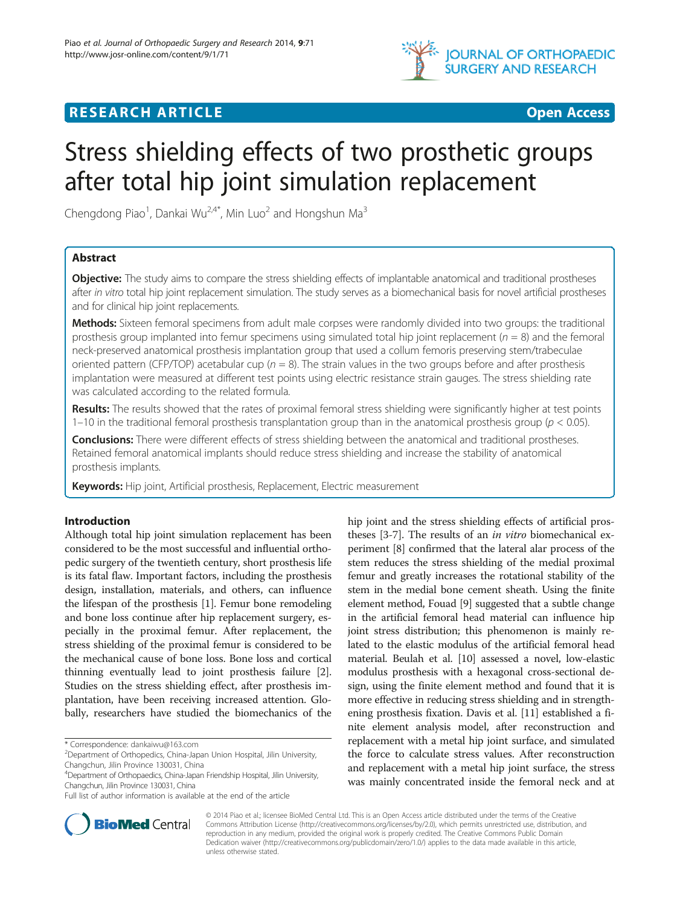

# **RESEARCH ARTICLE Example 2014 CONSIDERING CONSIDERING CONSIDERING CONSIDERING CONSIDERING CONSIDERING CONSIDERING CONSIDERING CONSIDERING CONSIDERING CONSIDERING CONSIDERING CONSIDERING CONSIDERING CONSIDERING CONSIDE**

# Stress shielding effects of two prosthetic groups after total hip joint simulation replacement

Chengdong Piao<sup>1</sup>, Dankai Wu<sup>2,4\*</sup>, Min Luo<sup>2</sup> and Hongshun Ma<sup>3</sup>

# Abstract

**Objective:** The study aims to compare the stress shielding effects of implantable anatomical and traditional prostheses after in vitro total hip joint replacement simulation. The study serves as a biomechanical basis for novel artificial prostheses and for clinical hip joint replacements.

Methods: Sixteen femoral specimens from adult male corpses were randomly divided into two groups: the traditional prosthesis group implanted into femur specimens using simulated total hip joint replacement ( $n = 8$ ) and the femoral neck-preserved anatomical prosthesis implantation group that used a collum femoris preserving stem/trabeculae oriented pattern (CFP/TOP) acetabular cup ( $n = 8$ ). The strain values in the two groups before and after prosthesis implantation were measured at different test points using electric resistance strain gauges. The stress shielding rate was calculated according to the related formula.

Results: The results showed that the rates of proximal femoral stress shielding were significantly higher at test points 1–10 in the traditional femoral prosthesis transplantation group than in the anatomical prosthesis group ( $p < 0.05$ ).

Conclusions: There were different effects of stress shielding between the anatomical and traditional prostheses. Retained femoral anatomical implants should reduce stress shielding and increase the stability of anatomical prosthesis implants.

Keywords: Hip joint, Artificial prosthesis, Replacement, Electric measurement

# Introduction

Although total hip joint simulation replacement has been considered to be the most successful and influential orthopedic surgery of the twentieth century, short prosthesis life is its fatal flaw. Important factors, including the prosthesis design, installation, materials, and others, can influence the lifespan of the prosthesis [\[1](#page-7-0)]. Femur bone remodeling and bone loss continue after hip replacement surgery, especially in the proximal femur. After replacement, the stress shielding of the proximal femur is considered to be the mechanical cause of bone loss. Bone loss and cortical thinning eventually lead to joint prosthesis failure [[2](#page-7-0)]. Studies on the stress shielding effect, after prosthesis implantation, have been receiving increased attention. Globally, researchers have studied the biomechanics of the

\* Correspondence: [dankaiwu@163.com](mailto:dankaiwu@163.com) <sup>2</sup>

4 Department of Orthopaedics, China-Japan Friendship Hospital, Jilin University, Changchun, Jilin Province 130031, China

hip joint and the stress shielding effects of artificial prostheses [[3-7\]](#page-7-0). The results of an in vitro biomechanical experiment [\[8](#page-7-0)] confirmed that the lateral alar process of the stem reduces the stress shielding of the medial proximal femur and greatly increases the rotational stability of the stem in the medial bone cement sheath. Using the finite element method, Fouad [[9\]](#page-7-0) suggested that a subtle change in the artificial femoral head material can influence hip joint stress distribution; this phenomenon is mainly related to the elastic modulus of the artificial femoral head material. Beulah et al. [\[10\]](#page-7-0) assessed a novel, low-elastic modulus prosthesis with a hexagonal cross-sectional design, using the finite element method and found that it is more effective in reducing stress shielding and in strengthening prosthesis fixation. Davis et al. [\[11](#page-7-0)] established a finite element analysis model, after reconstruction and replacement with a metal hip joint surface, and simulated the force to calculate stress values. After reconstruction and replacement with a metal hip joint surface, the stress was mainly concentrated inside the femoral neck and at



© 2014 Piao et al.; licensee BioMed Central Ltd. This is an Open Access article distributed under the terms of the Creative Commons Attribution License [\(http://creativecommons.org/licenses/by/2.0\)](http://creativecommons.org/publicdomain/zero/1.0/), which permits unrestricted use, distribution, and reproduction in any medium, provided the original work is properly credited. The Creative Commons Public Domain Dedication waiver [\(http://creativecommons.org/publicdomain/zero/1.0/](http://creativecommons.org/publicdomain/zero/1.0/)) applies to the data made available in this article, unless otherwise stated.

<sup>&</sup>lt;sup>2</sup>Department of Orthopedics, China-Japan Union Hospital, Jilin University, Changchun, Jilin Province 130031, China

Full list of author information is available at the end of the article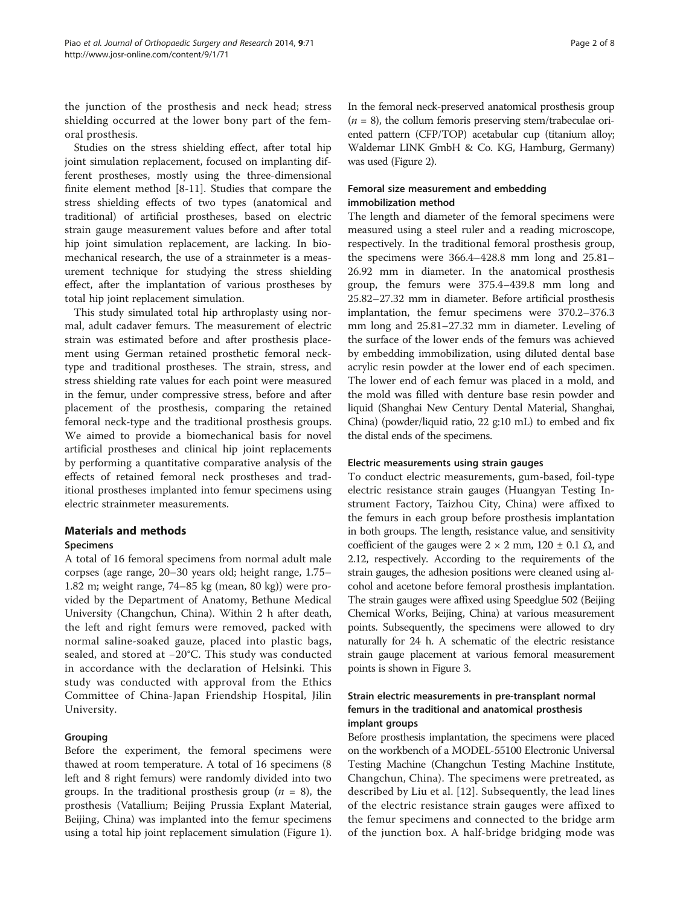the junction of the prosthesis and neck head; stress shielding occurred at the lower bony part of the femoral prosthesis.

Studies on the stress shielding effect, after total hip joint simulation replacement, focused on implanting different prostheses, mostly using the three-dimensional finite element method [[8-11](#page-7-0)]. Studies that compare the stress shielding effects of two types (anatomical and traditional) of artificial prostheses, based on electric strain gauge measurement values before and after total hip joint simulation replacement, are lacking. In biomechanical research, the use of a strainmeter is a measurement technique for studying the stress shielding effect, after the implantation of various prostheses by total hip joint replacement simulation.

This study simulated total hip arthroplasty using normal, adult cadaver femurs. The measurement of electric strain was estimated before and after prosthesis placement using German retained prosthetic femoral necktype and traditional prostheses. The strain, stress, and stress shielding rate values for each point were measured in the femur, under compressive stress, before and after placement of the prosthesis, comparing the retained femoral neck-type and the traditional prosthesis groups. We aimed to provide a biomechanical basis for novel artificial prostheses and clinical hip joint replacements by performing a quantitative comparative analysis of the effects of retained femoral neck prostheses and traditional prostheses implanted into femur specimens using electric strainmeter measurements.

# Materials and methods

# Specimens

A total of 16 femoral specimens from normal adult male corpses (age range, 20–30 years old; height range, 1.75– 1.82 m; weight range, 74–85 kg (mean, 80 kg)) were provided by the Department of Anatomy, Bethune Medical University (Changchun, China). Within 2 h after death, the left and right femurs were removed, packed with normal saline-soaked gauze, placed into plastic bags, sealed, and stored at −20°C. This study was conducted in accordance with the declaration of Helsinki. This study was conducted with approval from the Ethics Committee of China-Japan Friendship Hospital, Jilin University.

# Grouping

Before the experiment, the femoral specimens were thawed at room temperature. A total of 16 specimens (8 left and 8 right femurs) were randomly divided into two groups. In the traditional prosthesis group ( $n = 8$ ), the prosthesis (Vatallium; Beijing Prussia Explant Material, Beijing, China) was implanted into the femur specimens using a total hip joint replacement simulation (Figure [1](#page-2-0)). In the femoral neck-preserved anatomical prosthesis group  $(n = 8)$ , the collum femoris preserving stem/trabeculae oriented pattern (CFP/TOP) acetabular cup (titanium alloy; Waldemar LINK GmbH & Co. KG, Hamburg, Germany) was used (Figure [2\)](#page-3-0).

# Femoral size measurement and embedding immobilization method

The length and diameter of the femoral specimens were measured using a steel ruler and a reading microscope, respectively. In the traditional femoral prosthesis group, the specimens were 366.4–428.8 mm long and 25.81– 26.92 mm in diameter. In the anatomical prosthesis group, the femurs were 375.4–439.8 mm long and 25.82–27.32 mm in diameter. Before artificial prosthesis implantation, the femur specimens were 370.2–376.3 mm long and 25.81–27.32 mm in diameter. Leveling of the surface of the lower ends of the femurs was achieved by embedding immobilization, using diluted dental base acrylic resin powder at the lower end of each specimen. The lower end of each femur was placed in a mold, and the mold was filled with denture base resin powder and liquid (Shanghai New Century Dental Material, Shanghai, China) (powder/liquid ratio, 22 g:10 mL) to embed and fix the distal ends of the specimens.

## Electric measurements using strain gauges

To conduct electric measurements, gum-based, foil-type electric resistance strain gauges (Huangyan Testing Instrument Factory, Taizhou City, China) were affixed to the femurs in each group before prosthesis implantation in both groups. The length, resistance value, and sensitivity coefficient of the gauges were  $2 \times 2$  mm,  $120 \pm 0.1$   $\Omega$ , and 2.12, respectively. According to the requirements of the strain gauges, the adhesion positions were cleaned using alcohol and acetone before femoral prosthesis implantation. The strain gauges were affixed using Speedglue 502 (Beijing Chemical Works, Beijing, China) at various measurement points. Subsequently, the specimens were allowed to dry naturally for 24 h. A schematic of the electric resistance strain gauge placement at various femoral measurement points is shown in Figure [3.](#page-4-0)

# Strain electric measurements in pre-transplant normal femurs in the traditional and anatomical prosthesis implant groups

Before prosthesis implantation, the specimens were placed on the workbench of a MODEL-55100 Electronic Universal Testing Machine (Changchun Testing Machine Institute, Changchun, China). The specimens were pretreated, as described by Liu et al. [\[12](#page-7-0)]. Subsequently, the lead lines of the electric resistance strain gauges were affixed to the femur specimens and connected to the bridge arm of the junction box. A half-bridge bridging mode was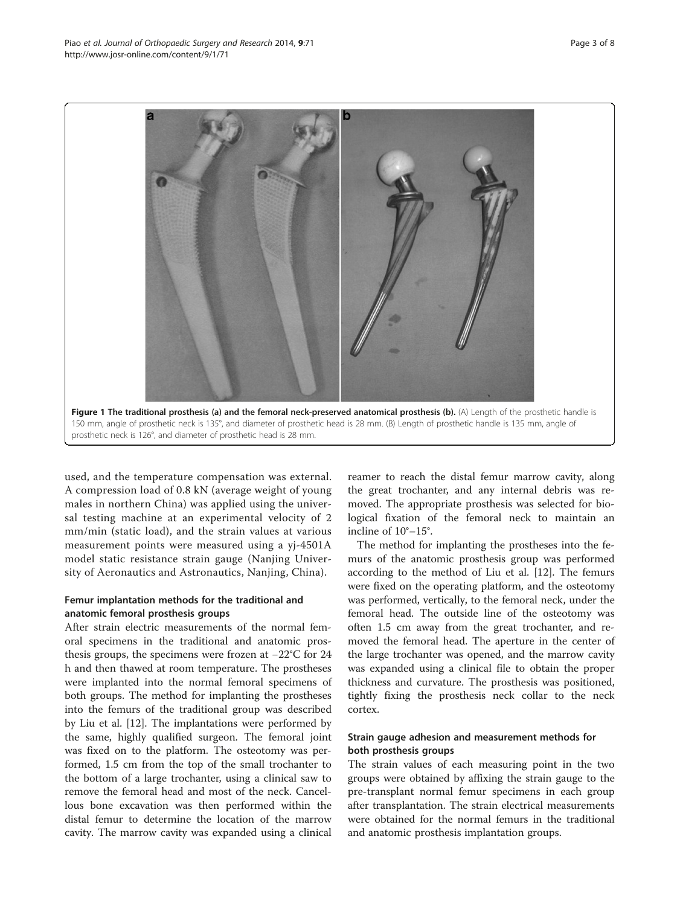<span id="page-2-0"></span>

used, and the temperature compensation was external. A compression load of 0.8 kN (average weight of young males in northern China) was applied using the universal testing machine at an experimental velocity of 2 mm/min (static load), and the strain values at various measurement points were measured using a yj-4501A model static resistance strain gauge (Nanjing University of Aeronautics and Astronautics, Nanjing, China).

## Femur implantation methods for the traditional and anatomic femoral prosthesis groups

After strain electric measurements of the normal femoral specimens in the traditional and anatomic prosthesis groups, the specimens were frozen at −22°C for 24 h and then thawed at room temperature. The prostheses were implanted into the normal femoral specimens of both groups. The method for implanting the prostheses into the femurs of the traditional group was described by Liu et al. [[12\]](#page-7-0). The implantations were performed by the same, highly qualified surgeon. The femoral joint was fixed on to the platform. The osteotomy was performed, 1.5 cm from the top of the small trochanter to the bottom of a large trochanter, using a clinical saw to remove the femoral head and most of the neck. Cancellous bone excavation was then performed within the distal femur to determine the location of the marrow cavity. The marrow cavity was expanded using a clinical

reamer to reach the distal femur marrow cavity, along the great trochanter, and any internal debris was removed. The appropriate prosthesis was selected for biological fixation of the femoral neck to maintain an incline of 10°–15°.

The method for implanting the prostheses into the femurs of the anatomic prosthesis group was performed according to the method of Liu et al. [[12\]](#page-7-0). The femurs were fixed on the operating platform, and the osteotomy was performed, vertically, to the femoral neck, under the femoral head. The outside line of the osteotomy was often 1.5 cm away from the great trochanter, and removed the femoral head. The aperture in the center of the large trochanter was opened, and the marrow cavity was expanded using a clinical file to obtain the proper thickness and curvature. The prosthesis was positioned, tightly fixing the prosthesis neck collar to the neck cortex.

# Strain gauge adhesion and measurement methods for both prosthesis groups

The strain values of each measuring point in the two groups were obtained by affixing the strain gauge to the pre-transplant normal femur specimens in each group after transplantation. The strain electrical measurements were obtained for the normal femurs in the traditional and anatomic prosthesis implantation groups.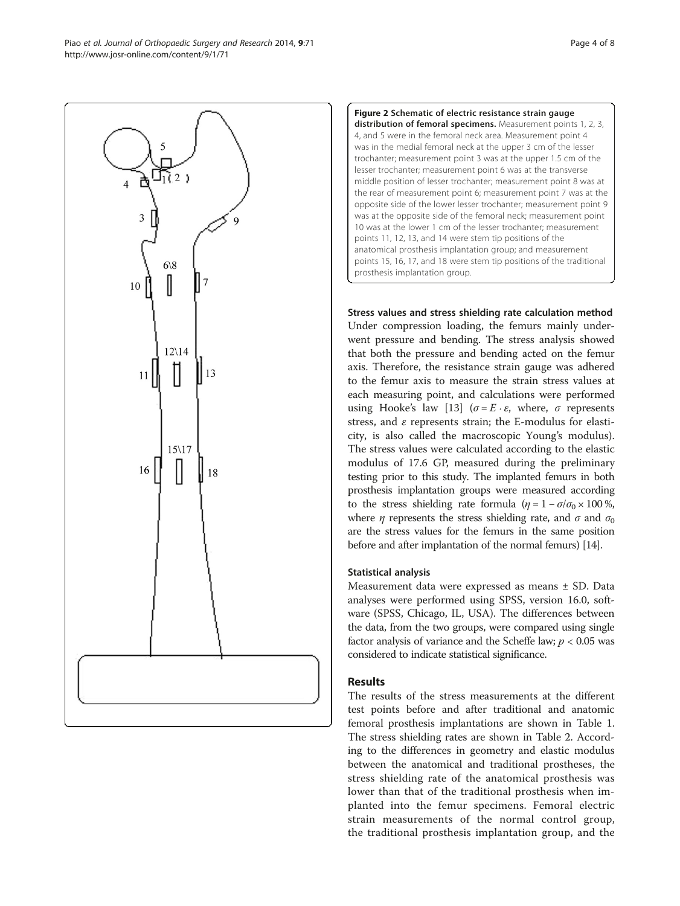<span id="page-3-0"></span>



Stress values and stress shielding rate calculation method Under compression loading, the femurs mainly underwent pressure and bending. The stress analysis showed that both the pressure and bending acted on the femur axis. Therefore, the resistance strain gauge was adhered to the femur axis to measure the strain stress values at each measuring point, and calculations were performed using Hooke's law [[13\]](#page-7-0) ( $\sigma = E \cdot \varepsilon$ , where,  $\sigma$  represents stress, and  $\varepsilon$  represents strain; the E-modulus for elasticity, is also called the macroscopic Young's modulus). The stress values were calculated according to the elastic modulus of 17.6 GP, measured during the preliminary testing prior to this study. The implanted femurs in both prosthesis implantation groups were measured according to the stress shielding rate formula ( $\eta = 1 - \sigma/\sigma_0 \times 100\%$ , where  $\eta$  represents the stress shielding rate, and  $\sigma$  and  $\sigma_0$ are the stress values for the femurs in the same position before and after implantation of the normal femurs) [\[14\]](#page-7-0).

# Statistical analysis

Measurement data were expressed as means ± SD. Data analyses were performed using SPSS, version 16.0, software (SPSS, Chicago, IL, USA). The differences between the data, from the two groups, were compared using single factor analysis of variance and the Scheffe law;  $p < 0.05$  was considered to indicate statistical significance.

# Results

The results of the stress measurements at the different test points before and after traditional and anatomic femoral prosthesis implantations are shown in Table [1](#page-5-0). The stress shielding rates are shown in Table [2.](#page-6-0) According to the differences in geometry and elastic modulus between the anatomical and traditional prostheses, the stress shielding rate of the anatomical prosthesis was lower than that of the traditional prosthesis when implanted into the femur specimens. Femoral electric strain measurements of the normal control group, the traditional prosthesis implantation group, and the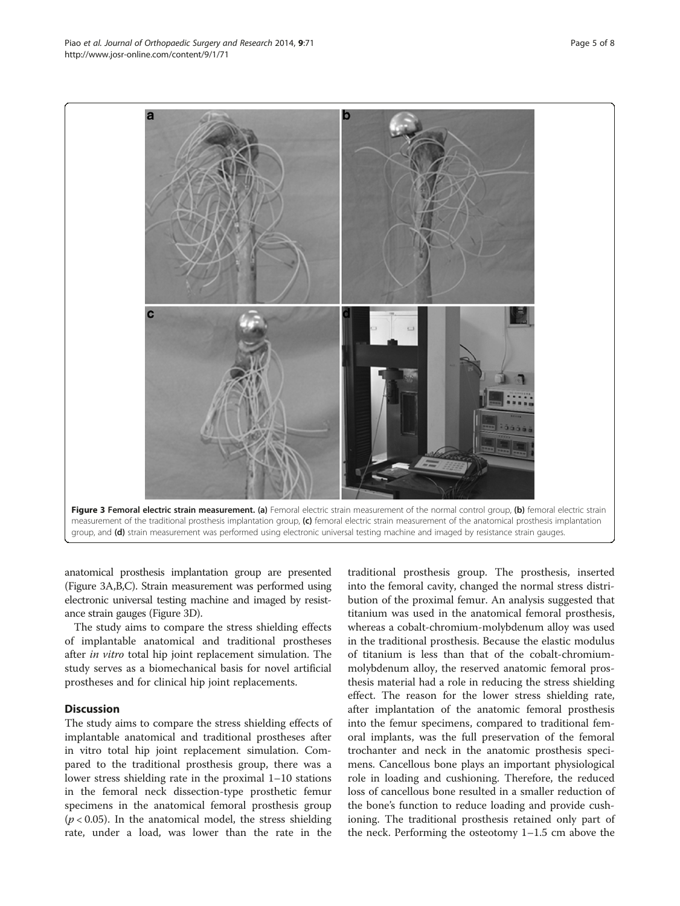anatomical prosthesis implantation group are presented (Figure 3A,B,C). Strain measurement was performed using electronic universal testing machine and imaged by resistance strain gauges (Figure 3D).

The study aims to compare the stress shielding effects of implantable anatomical and traditional prostheses after in vitro total hip joint replacement simulation. The study serves as a biomechanical basis for novel artificial prostheses and for clinical hip joint replacements.

## **Discussion**

The study aims to compare the stress shielding effects of implantable anatomical and traditional prostheses after in vitro total hip joint replacement simulation. Compared to the traditional prosthesis group, there was a lower stress shielding rate in the proximal 1–10 stations in the femoral neck dissection-type prosthetic femur specimens in the anatomical femoral prosthesis group  $(p < 0.05)$ . In the anatomical model, the stress shielding rate, under a load, was lower than the rate in the

traditional prosthesis group. The prosthesis, inserted into the femoral cavity, changed the normal stress distribution of the proximal femur. An analysis suggested that titanium was used in the anatomical femoral prosthesis, whereas a cobalt-chromium-molybdenum alloy was used in the traditional prosthesis. Because the elastic modulus of titanium is less than that of the cobalt-chromiummolybdenum alloy, the reserved anatomic femoral prosthesis material had a role in reducing the stress shielding effect. The reason for the lower stress shielding rate, after implantation of the anatomic femoral prosthesis into the femur specimens, compared to traditional femoral implants, was the full preservation of the femoral trochanter and neck in the anatomic prosthesis specimens. Cancellous bone plays an important physiological role in loading and cushioning. Therefore, the reduced loss of cancellous bone resulted in a smaller reduction of the bone's function to reduce loading and provide cushioning. The traditional prosthesis retained only part of the neck. Performing the osteotomy 1–1.5 cm above the

<span id="page-4-0"></span>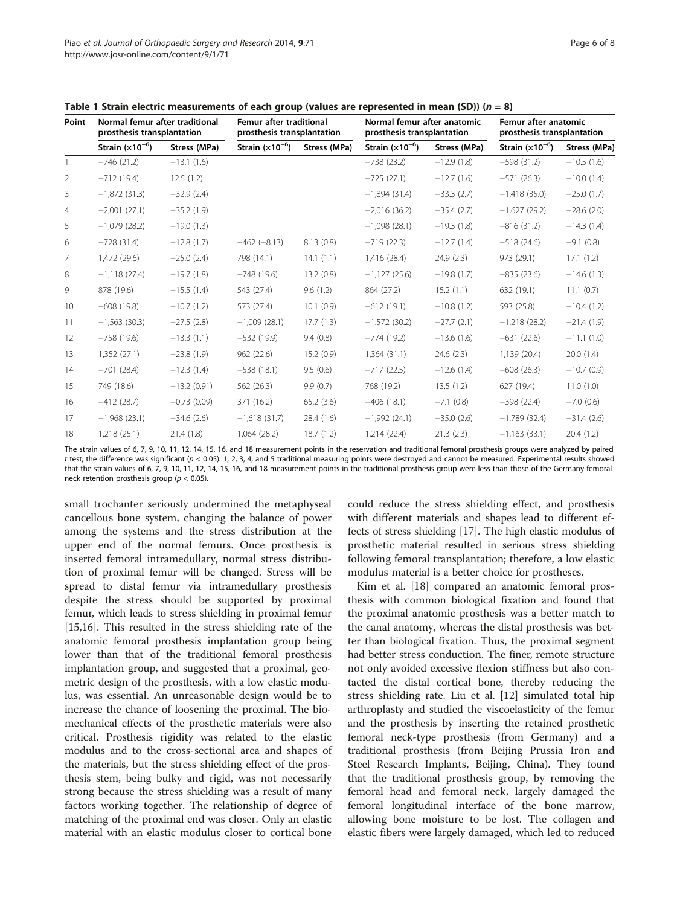<span id="page-5-0"></span>Table 1 Strain electric measurements of each group (values are represented in mean (SD)) ( $n = 8$ )

| Point | Normal femur after traditional<br>prosthesis transplantation |               | Femur after traditional<br>prosthesis transplantation |              | Normal femur after anatomic<br>prosthesis transplantation |              | Femur after anatomic<br>prosthesis transplantation |              |
|-------|--------------------------------------------------------------|---------------|-------------------------------------------------------|--------------|-----------------------------------------------------------|--------------|----------------------------------------------------|--------------|
|       | Strain $(x10^{-6})$                                          | Stress (MPa)  | Strain $(x10^{-6})$                                   | Stress (MPa) | Strain $(x10^{-6})$                                       | Stress (MPa) | Strain $(x10^{-6})$                                | Stress (MPa) |
|       | $-746(21.2)$                                                 | $-13.1(1.6)$  |                                                       |              | $-738(23.2)$                                              | $-12.9(1.8)$ | $-598(31.2)$                                       | $-10.5(1.6)$ |
| 2     | $-712(19.4)$                                                 | 12.5(1.2)     |                                                       |              | $-725(27.1)$                                              | $-12.7(1.6)$ | $-571(26.3)$                                       | $-10.0(1.4)$ |
| 3     | $-1,872$ (31.3)                                              | $-32.9(2.4)$  |                                                       |              | $-1,894(31.4)$                                            | $-33.3(2.7)$ | $-1,418(35.0)$                                     | $-25.0(1.7)$ |
| 4     | $-2,001(27.1)$                                               | $-35.2(1.9)$  |                                                       |              | $-2,016(36.2)$                                            | $-35.4(2.7)$ | $-1,627(29.2)$                                     | $-28.6(2.0)$ |
| 5     | $-1,079(28.2)$                                               | $-19.0(1.3)$  |                                                       |              | $-1,098(28.1)$                                            | $-19.3(1.8)$ | $-816(31.2)$                                       | $-14.3(1.4)$ |
| 6     | $-728(31.4)$                                                 | $-12.8(1.7)$  | $-462 (-8.13)$                                        | 8.13(0.8)    | $-719(22.3)$                                              | $-12.7(1.4)$ | $-518(24.6)$                                       | $-9.1(0.8)$  |
| 7     | 1,472 (29.6)                                                 | $-25.0(2.4)$  | 798 (14.1)                                            | 14.1(1.1)    | 1,416 (28.4)                                              | 24.9(2.3)    | 973 (29.1)                                         | 17.1(1.2)    |
| 8     | $-1,118(27.4)$                                               | $-19.7(1.8)$  | $-748(19.6)$                                          | 13.2(0.8)    | $-1,127(25.6)$                                            | $-19.8(1.7)$ | $-835(23.6)$                                       | $-14.6(1.3)$ |
| 9     | 878 (19.6)                                                   | $-15.5(1.4)$  | 543 (27.4)                                            | 9.6(1.2)     | 864 (27.2)                                                | 15.2(1.1)    | 632 (19.1)                                         | 11.1(0.7)    |
| 10    | $-608(19.8)$                                                 | $-10.7(1.2)$  | 573 (27.4)                                            | 10.1(0.9)    | $-612(19.1)$                                              | $-10.8(1.2)$ | 593 (25.8)                                         | $-10.4(1.2)$ |
| 11    | $-1,563(30.3)$                                               | $-27.5(2.8)$  | $-1,009(28.1)$                                        | 17.7(1.3)    | $-1.572(30.2)$                                            | $-27.7(2.1)$ | $-1,218(28.2)$                                     | $-21.4(1.9)$ |
| 12    | $-758(19.6)$                                                 | $-13.3(1.1)$  | $-532(19.9)$                                          | 9.4(0.8)     | $-774(19.2)$                                              | $-13.6(1.6)$ | $-631(22.6)$                                       | $-11.1(1.0)$ |
| 13    | 1,352(27.1)                                                  | $-23.8(1.9)$  | 962(22.6)                                             | 15.2(0.9)    | 1,364(31.1)                                               | 24.6(2.3)    | 1,139 (20.4)                                       | 20.0(1.4)    |
| 14    | $-701(28.4)$                                                 | $-12.3(1.4)$  | $-538(18.1)$                                          | 9.5(0.6)     | $-717(22.5)$                                              | $-12.6(1.4)$ | $-608(26.3)$                                       | $-10.7(0.9)$ |
| 15    | 749 (18.6)                                                   | $-13.2(0.91)$ | 562 (26.3)                                            | 9.9(0.7)     | 768 (19.2)                                                | 13.5(1.2)    | 627 (19.4)                                         | 11.0(1.0)    |
| 16    | $-412(28.7)$                                                 | $-0.73(0.09)$ | 371 (16.2)                                            | 65.2(3.6)    | $-406(18.1)$                                              | $-7.1(0.8)$  | $-398(22.4)$                                       | $-7.0(0.6)$  |
| 17    | $-1,968(23.1)$                                               | $-34.6(2.6)$  | $-1,618(31.7)$                                        | 28.4 (1.6)   | $-1,992(24.1)$                                            | $-35.0(2.6)$ | $-1,789$ (32.4)                                    | $-31.4(2.6)$ |
| 18    | 1,218(25.1)                                                  | 21.4(1.8)     | 1,064 (28.2)                                          | 18.7(1.2)    | 1,214 (22.4)                                              | 21.3(2.3)    | $-1,163(33.1)$                                     | 20.4(1.2)    |

The strain values of 6, 7, 9, 10, 11, 12, 14, 15, 16, and 18 measurement points in the reservation and traditional femoral prosthesis groups were analyzed by paired t test; the difference was significant ( $p < 0.05$ ). 1, 2, 3, 4, and 5 traditional measuring points were destroyed and cannot be measured. Experimental results showed that the strain values of 6, 7, 9, 10, 11, 12, 14, 15, 16, and 18 measurement points in the traditional prosthesis group were less than those of the Germany femoral neck retention prosthesis group ( $p < 0.05$ ).

small trochanter seriously undermined the metaphyseal cancellous bone system, changing the balance of power among the systems and the stress distribution at the upper end of the normal femurs. Once prosthesis is inserted femoral intramedullary, normal stress distribution of proximal femur will be changed. Stress will be spread to distal femur via intramedullary prosthesis despite the stress should be supported by proximal femur, which leads to stress shielding in proximal femur [[15,16\]](#page-7-0). This resulted in the stress shielding rate of the anatomic femoral prosthesis implantation group being lower than that of the traditional femoral prosthesis implantation group, and suggested that a proximal, geometric design of the prosthesis, with a low elastic modulus, was essential. An unreasonable design would be to increase the chance of loosening the proximal. The biomechanical effects of the prosthetic materials were also critical. Prosthesis rigidity was related to the elastic modulus and to the cross-sectional area and shapes of the materials, but the stress shielding effect of the prosthesis stem, being bulky and rigid, was not necessarily strong because the stress shielding was a result of many factors working together. The relationship of degree of matching of the proximal end was closer. Only an elastic material with an elastic modulus closer to cortical bone could reduce the stress shielding effect, and prosthesis with different materials and shapes lead to different effects of stress shielding [[17\]](#page-7-0). The high elastic modulus of prosthetic material resulted in serious stress shielding following femoral transplantation; therefore, a low elastic modulus material is a better choice for prostheses.

Kim et al. [[18\]](#page-7-0) compared an anatomic femoral prosthesis with common biological fixation and found that the proximal anatomic prosthesis was a better match to the canal anatomy, whereas the distal prosthesis was better than biological fixation. Thus, the proximal segment had better stress conduction. The finer, remote structure not only avoided excessive flexion stiffness but also contacted the distal cortical bone, thereby reducing the stress shielding rate. Liu et al. [\[12](#page-7-0)] simulated total hip arthroplasty and studied the viscoelasticity of the femur and the prosthesis by inserting the retained prosthetic femoral neck-type prosthesis (from Germany) and a traditional prosthesis (from Beijing Prussia Iron and Steel Research Implants, Beijing, China). They found that the traditional prosthesis group, by removing the femoral head and femoral neck, largely damaged the femoral longitudinal interface of the bone marrow, allowing bone moisture to be lost. The collagen and elastic fibers were largely damaged, which led to reduced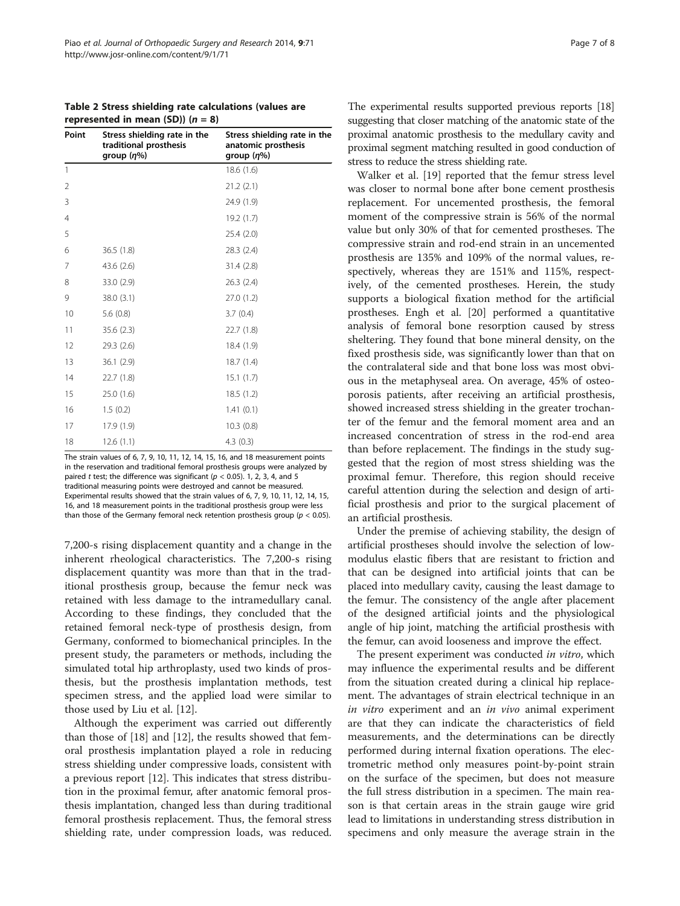<span id="page-6-0"></span>Table 2 Stress shielding rate calculations (values are represented in mean (SD))  $(n = 8)$ 

| Point | Stress shielding rate in the<br>traditional prosthesis<br>group $(\eta\%)$ | Stress shielding rate in the<br>anatomic prosthesis<br>group $(\eta\%)$ |
|-------|----------------------------------------------------------------------------|-------------------------------------------------------------------------|
| 1     |                                                                            | 18.6(1.6)                                                               |
| 2     |                                                                            | 21.2(2.1)                                                               |
| 3     |                                                                            | 24.9 (1.9)                                                              |
| 4     |                                                                            | 19.2 (1.7)                                                              |
| 5     |                                                                            | 25.4 (2.0)                                                              |
| 6     | 36.5(1.8)                                                                  | 28.3 (2.4)                                                              |
| 7     | 43.6 (2.6)                                                                 | 31.4 (2.8)                                                              |
| 8     | 33.0 (2.9)                                                                 | 26.3(2.4)                                                               |
| 9     | 38.0 (3.1)                                                                 | 27.0 (1.2)                                                              |
| 10    | 5.6(0.8)                                                                   | 3.7(0.4)                                                                |
| 11    | 35.6 (2.3)                                                                 | 22.7 (1.8)                                                              |
| 12    | 29.3 (2.6)                                                                 | 18.4 (1.9)                                                              |
| 13    | 36.1(2.9)                                                                  | 18.7(1.4)                                                               |
| 14    | 22.7 (1.8)                                                                 | 15.1(1.7)                                                               |
| 15    | 25.0 (1.6)                                                                 | 18.5(1.2)                                                               |
| 16    | 1.5(0.2)                                                                   | 1.41(0.1)                                                               |
| 17    | 17.9 (1.9)                                                                 | 10.3(0.8)                                                               |
| 18    | 12.6(1.1)                                                                  | 4.3(0.3)                                                                |

The strain values of 6, 7, 9, 10, 11, 12, 14, 15, 16, and 18 measurement points in the reservation and traditional femoral prosthesis groups were analyzed by paired t test; the difference was significant ( $p < 0.05$ ). 1, 2, 3, 4, and 5 traditional measuring points were destroyed and cannot be measured. Experimental results showed that the strain values of 6, 7, 9, 10, 11, 12, 14, 15, 16, and 18 measurement points in the traditional prosthesis group were less than those of the Germany femoral neck retention prosthesis group ( $p < 0.05$ ).

7,200-s rising displacement quantity and a change in the inherent rheological characteristics. The 7,200-s rising displacement quantity was more than that in the traditional prosthesis group, because the femur neck was retained with less damage to the intramedullary canal. According to these findings, they concluded that the retained femoral neck-type of prosthesis design, from Germany, conformed to biomechanical principles. In the present study, the parameters or methods, including the simulated total hip arthroplasty, used two kinds of prosthesis, but the prosthesis implantation methods, test specimen stress, and the applied load were similar to those used by Liu et al. [[12](#page-7-0)].

Although the experiment was carried out differently than those of [\[18\]](#page-7-0) and [[12](#page-7-0)], the results showed that femoral prosthesis implantation played a role in reducing stress shielding under compressive loads, consistent with a previous report [[12\]](#page-7-0). This indicates that stress distribution in the proximal femur, after anatomic femoral prosthesis implantation, changed less than during traditional femoral prosthesis replacement. Thus, the femoral stress shielding rate, under compression loads, was reduced.

The experimental results supported previous reports [\[18](#page-7-0)] suggesting that closer matching of the anatomic state of the proximal anatomic prosthesis to the medullary cavity and proximal segment matching resulted in good conduction of stress to reduce the stress shielding rate.

Walker et al. [[19\]](#page-7-0) reported that the femur stress level was closer to normal bone after bone cement prosthesis replacement. For uncemented prosthesis, the femoral moment of the compressive strain is 56% of the normal value but only 30% of that for cemented prostheses. The compressive strain and rod-end strain in an uncemented prosthesis are 135% and 109% of the normal values, respectively, whereas they are 151% and 115%, respectively, of the cemented prostheses. Herein, the study supports a biological fixation method for the artificial prostheses. Engh et al. [\[20\]](#page-7-0) performed a quantitative analysis of femoral bone resorption caused by stress sheltering. They found that bone mineral density, on the fixed prosthesis side, was significantly lower than that on the contralateral side and that bone loss was most obvious in the metaphyseal area. On average, 45% of osteoporosis patients, after receiving an artificial prosthesis, showed increased stress shielding in the greater trochanter of the femur and the femoral moment area and an increased concentration of stress in the rod-end area than before replacement. The findings in the study suggested that the region of most stress shielding was the proximal femur. Therefore, this region should receive careful attention during the selection and design of artificial prosthesis and prior to the surgical placement of an artificial prosthesis.

Under the premise of achieving stability, the design of artificial prostheses should involve the selection of lowmodulus elastic fibers that are resistant to friction and that can be designed into artificial joints that can be placed into medullary cavity, causing the least damage to the femur. The consistency of the angle after placement of the designed artificial joints and the physiological angle of hip joint, matching the artificial prosthesis with the femur, can avoid looseness and improve the effect.

The present experiment was conducted in vitro, which may influence the experimental results and be different from the situation created during a clinical hip replacement. The advantages of strain electrical technique in an in vitro experiment and an in vivo animal experiment are that they can indicate the characteristics of field measurements, and the determinations can be directly performed during internal fixation operations. The electrometric method only measures point-by-point strain on the surface of the specimen, but does not measure the full stress distribution in a specimen. The main reason is that certain areas in the strain gauge wire grid lead to limitations in understanding stress distribution in specimens and only measure the average strain in the